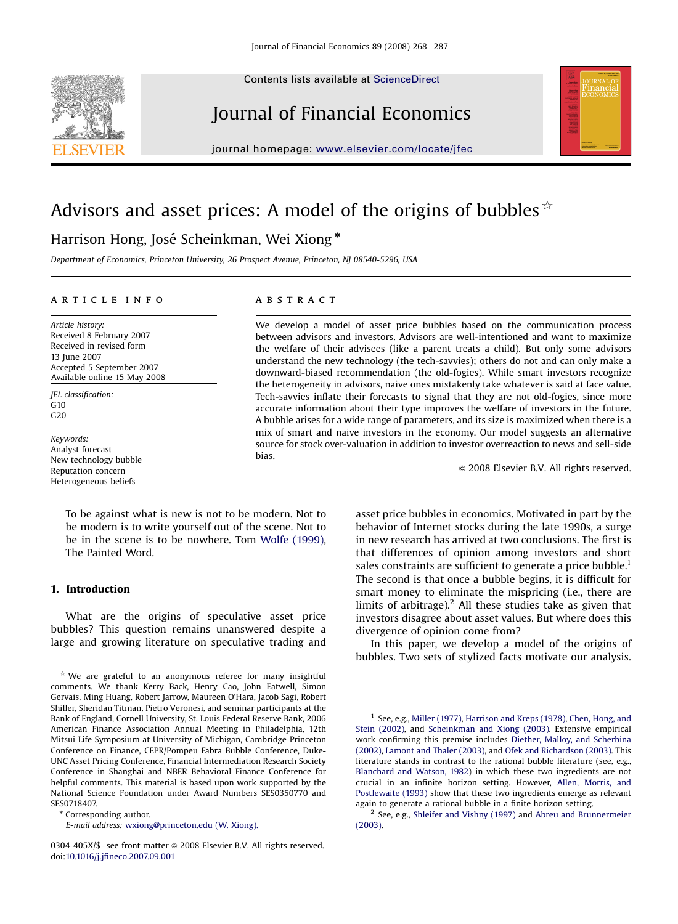Contents lists available at [ScienceDirect](www.elsevier.com/locate/jfec)



### Journal of Financial Economics



journal homepage: <www.elsevier.com/locate/jfec>

# Advisors and asset prices: A model of the origins of bubbles  $\dot{\alpha}$

### Harrison Hong, José Scheinkman, Wei Xiong  $^\ast$

Department of Economics, Princeton University, 26 Prospect Avenue, Princeton, NJ 08540-5296, USA

#### article info

Article history: Received 8 February 2007 Received in revised form 13 June 2007 Accepted 5 September 2007 Available online 15 May 2008

JEL classification: G10 G20

Keywords: Analyst forecast New technology bubble Reputation concern Heterogeneous beliefs

#### **ABSTRACT**

We develop a model of asset price bubbles based on the communication process between advisors and investors. Advisors are well-intentioned and want to maximize the welfare of their advisees (like a parent treats a child). But only some advisors understand the new technology (the tech-savvies); others do not and can only make a downward-biased recommendation (the old-fogies). While smart investors recognize the heterogeneity in advisors, naive ones mistakenly take whatever is said at face value. Tech-savvies inflate their forecasts to signal that they are not old-fogies, since more accurate information about their type improves the welfare of investors in the future. A bubble arises for a wide range of parameters, and its size is maximized when there is a mix of smart and naive investors in the economy. Our model suggests an alternative source for stock over-valuation in addition to investor overreaction to news and sell-side bias.

 $© 2008 Elsevier B.V. All rights reserved.$ 

To be against what is new is not to be modern. Not to be modern is to write yourself out of the scene. Not to be in the scene is to be nowhere. Tom [Wolfe \(1999\)](#page--1-0), The Painted Word.

#### 1. Introduction

What are the origins of speculative asset price bubbles? This question remains unanswered despite a large and growing literature on speculative trading and

Corresponding author.

asset price bubbles in economics. Motivated in part by the behavior of Internet stocks during the late 1990s, a surge in new research has arrived at two conclusions. The first is that differences of opinion among investors and short sales constraints are sufficient to generate a price bubble.<sup>1</sup> The second is that once a bubble begins, it is difficult for smart money to eliminate the mispricing (i.e., there are limits of arbitrage). $<sup>2</sup>$  All these studies take as given that</sup> investors disagree about asset values. But where does this divergence of opinion come from?

In this paper, we develop a model of the origins of bubbles. Two sets of stylized facts motivate our analysis.

 $*$  We are grateful to an anonymous referee for many insightful comments. We thank Kerry Back, Henry Cao, John Eatwell, Simon Gervais, Ming Huang, Robert Jarrow, Maureen O'Hara, Jacob Sagi, Robert Shiller, Sheridan Titman, Pietro Veronesi, and seminar participants at the Bank of England, Cornell University, St. Louis Federal Reserve Bank, 2006 American Finance Association Annual Meeting in Philadelphia, 12th Mitsui Life Symposium at University of Michigan, Cambridge-Princeton Conference on Finance, CEPR/Pompeu Fabra Bubble Conference, Duke-UNC Asset Pricing Conference, Financial Intermediation Research Society Conference in Shanghai and NBER Behavioral Finance Conference for helpful comments. This material is based upon work supported by the National Science Foundation under Award Numbers SES0350770 and SES0718407.

E-mail address: [wxiong@princeton.edu \(W. Xiong\).](mailto:wxiong@princeton.edu)

<sup>0304-405</sup>X/\$ - see front matter  $\circ$  2008 Elsevier B.V. All rights reserved. doi:[10.1016/j.jfineco.2007.09.001](dx.doi.org/10.1016/j.jfineco.2007.09.001)

See, e.g., [Miller \(1977\),](#page--1-0) [Harrison and Kreps \(1978\)](#page--1-0), [Chen, Hong, and](#page--1-0) [Stein \(2002\),](#page--1-0) and [Scheinkman and Xiong \(2003\).](#page--1-0) Extensive empirical work confirming this premise includes [Diether, Malloy, and Scherbina](#page--1-0) [\(2002\)](#page--1-0), [Lamont and Thaler \(2003\)](#page--1-0), and [Ofek and Richardson \(2003\)](#page--1-0). This literature stands in contrast to the rational bubble literature (see, e.g., [Blanchard and Watson, 1982](#page--1-0)) in which these two ingredients are not crucial in an infinite horizon setting. However, [Allen, Morris, and](#page--1-0) [Postlewaite \(1993\)](#page--1-0) show that these two ingredients emerge as relevant again to generate a rational bubble in a finite horizon setting.

<sup>2</sup> See, e.g., [Shleifer and Vishny \(1997\)](#page--1-0) and [Abreu and Brunnermeier](#page--1-0) [\(2003\)](#page--1-0).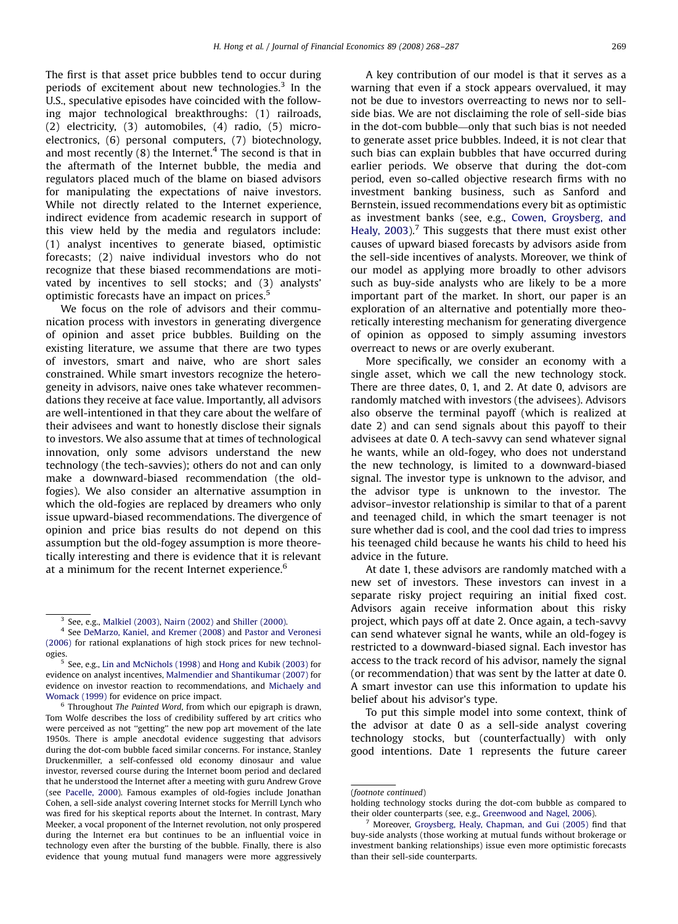The first is that asset price bubbles tend to occur during periods of excitement about new technologies.<sup>3</sup> In the U.S., speculative episodes have coincided with the following major technological breakthroughs: (1) railroads, (2) electricity, (3) automobiles, (4) radio, (5) microelectronics, (6) personal computers, (7) biotechnology, and most recently  $(8)$  the Internet.<sup>4</sup> The second is that in the aftermath of the Internet bubble, the media and regulators placed much of the blame on biased advisors for manipulating the expectations of naive investors. While not directly related to the Internet experience, indirect evidence from academic research in support of this view held by the media and regulators include: (1) analyst incentives to generate biased, optimistic forecasts; (2) naive individual investors who do not recognize that these biased recommendations are motivated by incentives to sell stocks; and (3) analysts' optimistic forecasts have an impact on prices.<sup>5</sup>

We focus on the role of advisors and their communication process with investors in generating divergence of opinion and asset price bubbles. Building on the existing literature, we assume that there are two types of investors, smart and naive, who are short sales constrained. While smart investors recognize the heterogeneity in advisors, naive ones take whatever recommendations they receive at face value. Importantly, all advisors are well-intentioned in that they care about the welfare of their advisees and want to honestly disclose their signals to investors. We also assume that at times of technological innovation, only some advisors understand the new technology (the tech-savvies); others do not and can only make a downward-biased recommendation (the oldfogies). We also consider an alternative assumption in which the old-fogies are replaced by dreamers who only issue upward-biased recommendations. The divergence of opinion and price bias results do not depend on this assumption but the old-fogey assumption is more theoretically interesting and there is evidence that it is relevant at a minimum for the recent Internet experience.<sup>6</sup>

A key contribution of our model is that it serves as a warning that even if a stock appears overvalued, it may not be due to investors overreacting to news nor to sellside bias. We are not disclaiming the role of sell-side bias in the dot-com bubble—only that such bias is not needed to generate asset price bubbles. Indeed, it is not clear that such bias can explain bubbles that have occurred during earlier periods. We observe that during the dot-com period, even so-called objective research firms with no investment banking business, such as Sanford and Bernstein, issued recommendations every bit as optimistic as investment banks (see, e.g., [Cowen, Groysberg, and](#page--1-0) [Healy, 2003](#page--1-0)).<sup>7</sup> This suggests that there must exist other causes of upward biased forecasts by advisors aside from the sell-side incentives of analysts. Moreover, we think of our model as applying more broadly to other advisors such as buy-side analysts who are likely to be a more important part of the market. In short, our paper is an exploration of an alternative and potentially more theoretically interesting mechanism for generating divergence of opinion as opposed to simply assuming investors overreact to news or are overly exuberant.

More specifically, we consider an economy with a single asset, which we call the new technology stock. There are three dates, 0, 1, and 2. At date 0, advisors are randomly matched with investors (the advisees). Advisors also observe the terminal payoff (which is realized at date 2) and can send signals about this payoff to their advisees at date 0. A tech-savvy can send whatever signal he wants, while an old-fogey, who does not understand the new technology, is limited to a downward-biased signal. The investor type is unknown to the advisor, and the advisor type is unknown to the investor. The advisor–investor relationship is similar to that of a parent and teenaged child, in which the smart teenager is not sure whether dad is cool, and the cool dad tries to impress his teenaged child because he wants his child to heed his advice in the future.

At date 1, these advisors are randomly matched with a new set of investors. These investors can invest in a separate risky project requiring an initial fixed cost. Advisors again receive information about this risky project, which pays off at date 2. Once again, a tech-savvy can send whatever signal he wants, while an old-fogey is restricted to a downward-biased signal. Each investor has access to the track record of his advisor, namely the signal (or recommendation) that was sent by the latter at date 0. A smart investor can use this information to update his belief about his advisor's type.

To put this simple model into some context, think of the advisor at date 0 as a sell-side analyst covering technology stocks, but (counterfactually) with only good intentions. Date 1 represents the future career

 $3$  See, e.g., [Malkiel \(2003\)](#page--1-0), [Nairn \(2002\)](#page--1-0) and [Shiller \(2000\).](#page--1-0)

<sup>4</sup> See [DeMarzo, Kaniel, and Kremer \(2008\)](#page--1-0) and [Pastor and Veronesi](#page--1-0) [\(2006\)](#page--1-0) for rational explanations of high stock prices for new technologies.

<sup>5</sup> See, e.g., [Lin and McNichols \(1998\)](#page--1-0) and [Hong and Kubik \(2003\)](#page--1-0) for evidence on analyst incentives, [Malmendier and Shantikumar \(2007\)](#page--1-0) for evidence on investor reaction to recommendations, and [Michaely and](#page--1-0) [Womack \(1999\)](#page--1-0) for evidence on price impact.

 $6$  Throughout The Painted Word, from which our epigraph is drawn, Tom Wolfe describes the loss of credibility suffered by art critics who were perceived as not ''getting'' the new pop art movement of the late 1950s. There is ample anecdotal evidence suggesting that advisors during the dot-com bubble faced similar concerns. For instance, Stanley Druckenmiller, a self-confessed old economy dinosaur and value investor, reversed course during the Internet boom period and declared that he understood the Internet after a meeting with guru Andrew Grove (see [Pacelle, 2000\)](#page--1-0). Famous examples of old-fogies include Jonathan Cohen, a sell-side analyst covering Internet stocks for Merrill Lynch who was fired for his skeptical reports about the Internet. In contrast, Mary Meeker, a vocal proponent of the Internet revolution, not only prospered during the Internet era but continues to be an influential voice in technology even after the bursting of the bubble. Finally, there is also evidence that young mutual fund managers were more aggressively

<sup>(</sup>footnote continued)

holding technology stocks during the dot-com bubble as compared to their older counterparts (see, e.g., [Greenwood and Nagel, 2006](#page--1-0)).

 $7$  Moreover, [Groysberg, Healy, Chapman, and Gui \(2005\)](#page--1-0) find that buy-side analysts (those working at mutual funds without brokerage or investment banking relationships) issue even more optimistic forecasts than their sell-side counterparts.